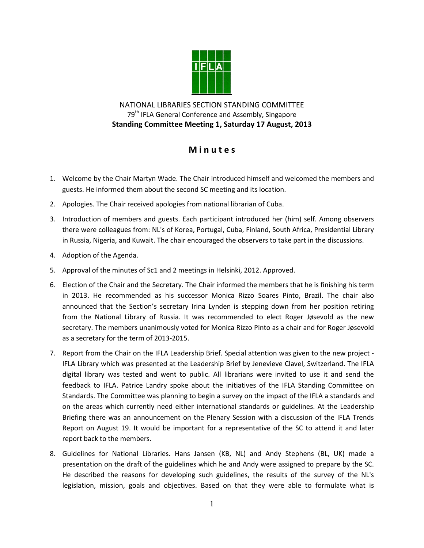

NATIONAL LIBRARIES SECTION STANDING COMMITTEE 79<sup>th</sup> IFLA General Conference and Assembly, Singapore **Standing Committee Meeting 1, Saturday 17 August, 2013**

## **M i n u t e s**

- 1. Welcome by the Chair Martyn Wade. The Chair introduced himself and welcomed the members and guests. He informed them about the second SC meeting and its location.
- 2. Apologies. The Chair received apologies from national librarian of Cuba.
- 3. Introduction of members and guests. Each participant introduced her (him) self. Among observers there were colleagues from: NL's of Korea, Portugal, Cuba, Finland, South Africa, Presidential Library in Russia, Nigeria, and Kuwait. The chair encouraged the observers to take part in the discussions.
- 4. Adoption of the Agenda.
- 5. Approval of the minutes of Sc1 and 2 meetings in Helsinki, 2012. Approved.
- 6. Election of the Chair and the Secretary. The Chair informed the members that he is finishing his term in 2013. He recommended as his successor Monica Rizzo Soares Pinto, Brazil. The chair also announced that the Section's secretary Irina Lynden is stepping down from her position retiring from the National Library of Russia. It was recommended to elect Roger Jøsevold as the new secretary. The members unanimously voted for Monica Rizzo Pinto as a chair and for Roger Jøsevold as a secretary for the term of 2013-2015.
- 7. Report from the Chair on the IFLA Leadership Brief. Special attention was given to the new project IFLA Library which was presented at the Leadership Brief by Jenevieve Clavel, Switzerland. The IFLA digital library was tested and went to public. All librarians were invited to use it and send the feedback to IFLA. Patrice Landry spoke about the initiatives of the IFLA Standing Committee on Standards. The Committee was planning to begin a survey on the impact of the IFLA a standards and on the areas which currently need either international standards or guidelines. At the Leadership Briefing there was an announcement on the Plenary Session with a discussion of the IFLA Trends Report on August 19. It would be important for a representative of the SC to attend it and later report back to the members.
- 8. Guidelines for National Libraries. Hans Jansen (KB, NL) and Andy Stephens (BL, UK) made a presentation on the draft of the guidelines which he and Andy were assigned to prepare by the SC. He described the reasons for developing such guidelines, the results of the survey of the NL's legislation, mission, goals and objectives. Based on that they were able to formulate what is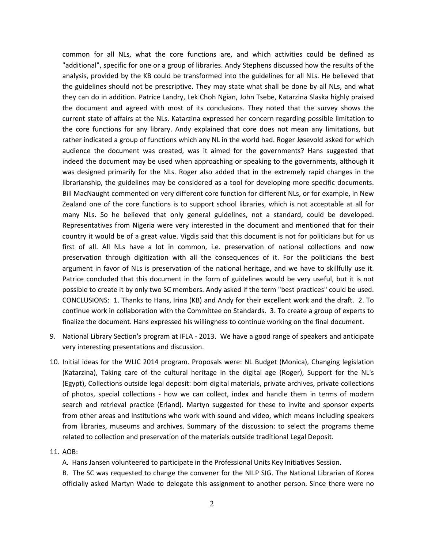common for all NLs, what the core functions are, and which activities could be defined as "additional", specific for one or a group of libraries. Andy Stephens discussed how the results of the analysis, provided by the KB could be transformed into the guidelines for all NLs. He believed that the guidelines should not be prescriptive. They may state what shall be done by all NLs, and what they can do in addition. Patrice Landry, Lek Choh Ngian, John Tsebe, Katarzina Slaska highly praised the document and agreed with most of its conclusions. They noted that the survey shows the current state of affairs at the NLs. Katarzina expressed her concern regarding possible limitation to the core functions for any library. Andy explained that core does not mean any limitations, but rather indicated a group of functions which any NL in the world had. Roger Jøsevold asked for which audience the document was created, was it aimed for the governments? Hans suggested that indeed the document may be used when approaching or speaking to the governments, although it was designed primarily for the NLs. Roger also added that in the extremely rapid changes in the librarianship, the guidelines may be considered as a tool for developing more specific documents. Bill MacNaught commented on very different core function for different NLs, or for example, in New Zealand one of the core functions is to support school libraries, which is not acceptable at all for many NLs. So he believed that only general guidelines, not a standard, could be developed. Representatives from Nigeria were very interested in the document and mentioned that for their country it would be of a great value. Vigdis said that this document is not for politicians but for us first of all. All NLs have a lot in common, i.e. preservation of national collections and now preservation through digitization with all the consequences of it. For the politicians the best argument in favor of NLs is preservation of the national heritage, and we have to skillfully use it. Patrice concluded that this document in the form of guidelines would be very useful, but it is not possible to create it by only two SC members. Andy asked if the term "best practices" could be used. CONCLUSIONS: 1. Thanks to Hans, Irina (KB) and Andy for their excellent work and the draft. 2. To continue work in collaboration with the Committee on Standards. 3. To create a group of experts to finalize the document. Hans expressed his willingness to continue working on the final document.

- 9. National Library Section's program at IFLA 2013. We have a good range of speakers and anticipate very interesting presentations and discussion.
- 10. Initial ideas for the WLIC 2014 program. Proposals were: NL Budget (Monica), Changing legislation (Katarzina), Taking care of the cultural heritage in the digital age (Roger), Support for the NL's (Egypt), Collections outside legal deposit: born digital materials, private archives, private collections of photos, special collections - how we can collect, index and handle them in terms of modern search and retrieval practice (Erland). Martyn suggested for these to invite and sponsor experts from other areas and institutions who work with sound and video, which means including speakers from libraries, museums and archives. Summary of the discussion: to select the programs theme related to collection and preservation of the materials outside traditional Legal Deposit.

## 11. AOB:

A. Hans Jansen volunteered to participate in the Professional Units Key Initiatives Session.

B. The SC was requested to change the convener for the NILP SIG. The National Librarian of Korea officially asked Martyn Wade to delegate this assignment to another person. Since there were no